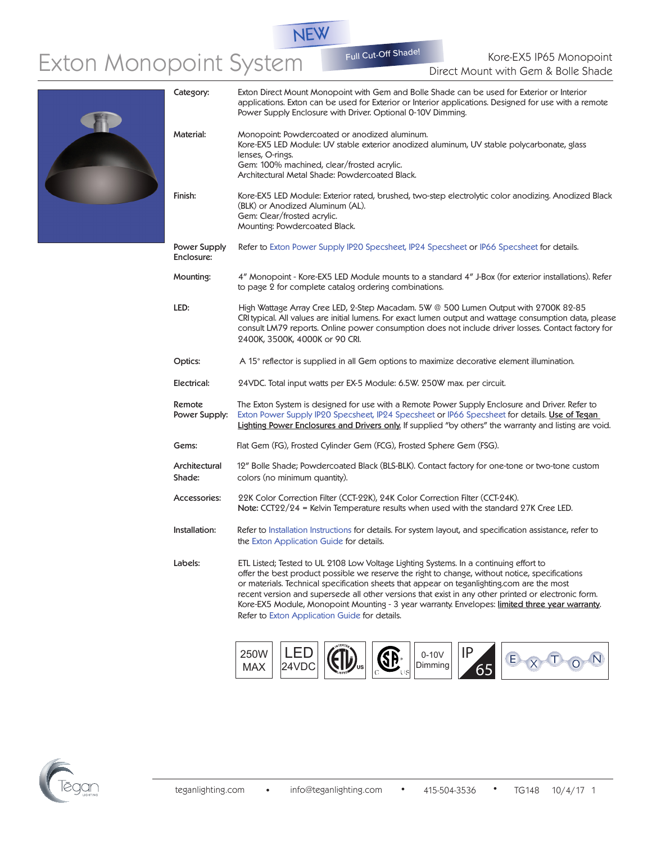Kore-EX5 IP65 Monopoint System Full Cut-Off Shade!<br>Direct Mount with Gem & Bolle Shade

Full Cut-Off Shade

NEW





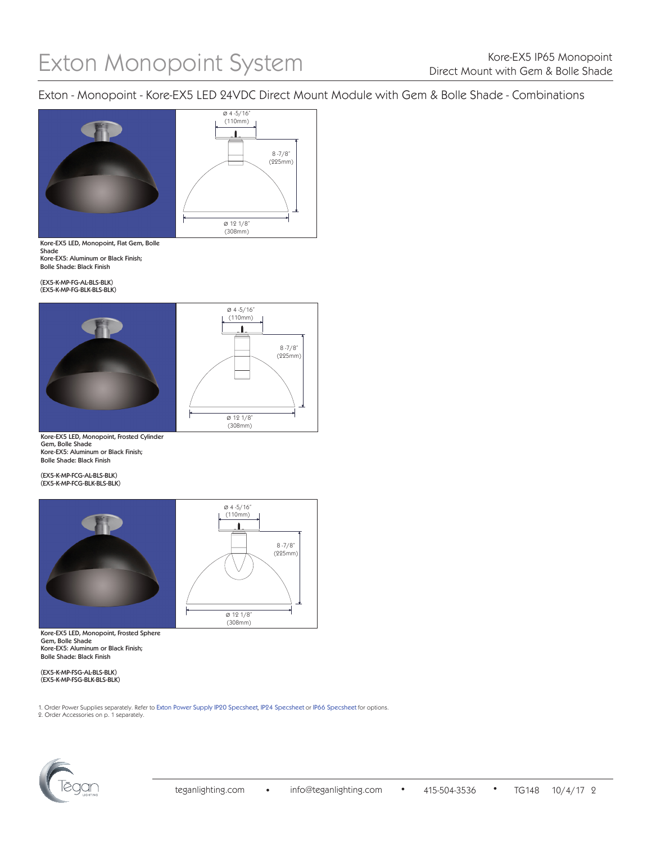Exton - Monopoint - Kore-EX5 LED 24VDC Direct Mount Module with Gem & Bolle Shade - Combinations



Kore-EX5 LED, Monopoint, Flat Gem, Bolle Shade Kore-EX5: Aluminum or Black Finish; Bolle Shade: Black Finish

(EX5-K-MP-FG-AL-BLS-BLK) (EX5-K-MP-FG-BLK-BLS-BLK)





Kore-EX5 LED, Monopoint, Frosted Cylinder Gem, Bolle Shade Kore-EX5: Aluminum or Black Finish; Bolle Shade: Black Finish

(EX5-K-MP-FCG-AL-BLS-BLK) (EX5-K-MP-FCG-BLK-BLS-BLK)



Kore-EX5 LED, Monopoint, Frosted Sphere Gem, Bolle Shade Kore-EX5: Aluminum or Black Finish; Bolle Shade: Black Finish

(EX5-K-MP-FSG-AL-BLS-BLK) (EX5-K-MP-FSG-BLK-BLS-BLK)

2. Order Accessories on p. 1 separately. 1. Order Power Supplies separately. Refer to [Exton Power Supply IP20 Specsheet](http://teganlighting.com/images/PDFs/specsheets/EXTON/Power_Supplies_IP20-Specsheet_115.pdf), [IP24 Specsheet](http://teganlighting.com/images/PDFs/specsheets/EXTON/Power_Supplies_IP24-Specsheet_116.pdf) or [IP66 Specsheet](http://teganlighting.com/images/PDFs/specsheets/EXTON/Power_Supplies_IP66-Specsheet_117.pdf) for options.